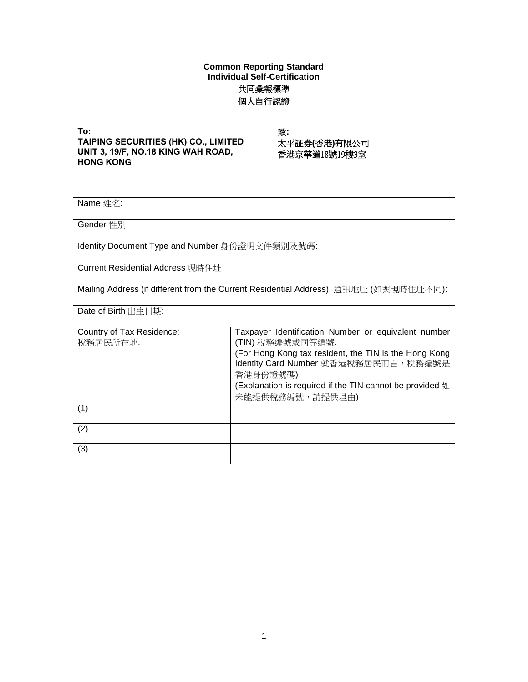## **Common Reporting Standard Individual Self-Certification** 共同彙報標準 個人自行認證

**To: TAIPING SECURITIES (HK) CO., LIMITED UNIT 3, 19/F, NO.18 KING WAH ROAD, HONG KONG**

致: 太平証券**(**香港**)**有限公司 香港京華道18號19樓3室

| Name 姓名:                                       |                                                                                                                                                                                                                                                                      |
|------------------------------------------------|----------------------------------------------------------------------------------------------------------------------------------------------------------------------------------------------------------------------------------------------------------------------|
|                                                |                                                                                                                                                                                                                                                                      |
| Gender 性別:                                     |                                                                                                                                                                                                                                                                      |
| Identity Document Type and Number 身份證明文件類別及號碼: |                                                                                                                                                                                                                                                                      |
| Current Residential Address 現時住址:              |                                                                                                                                                                                                                                                                      |
|                                                | Mailing Address (if different from the Current Residential Address) 通訊地址 (如與現時住址不同):                                                                                                                                                                                 |
| Date of Birth 出生日期:                            |                                                                                                                                                                                                                                                                      |
| Country of Tax Residence:<br>稅務居民所在地:          | Taxpayer Identification Number or equivalent number<br>(TIN) 稅務編號或同等編號:<br>(For Hong Kong tax resident, the TIN is the Hong Kong<br>Identity Card Number 就香港稅務居民而言, 稅務編號是<br>香港身份證號碼)<br>(Explanation is required if the TIN cannot be provided 如<br>未能提供稅務編號,請提供理由) |
| (1)                                            |                                                                                                                                                                                                                                                                      |
| (2)                                            |                                                                                                                                                                                                                                                                      |
| (3)                                            |                                                                                                                                                                                                                                                                      |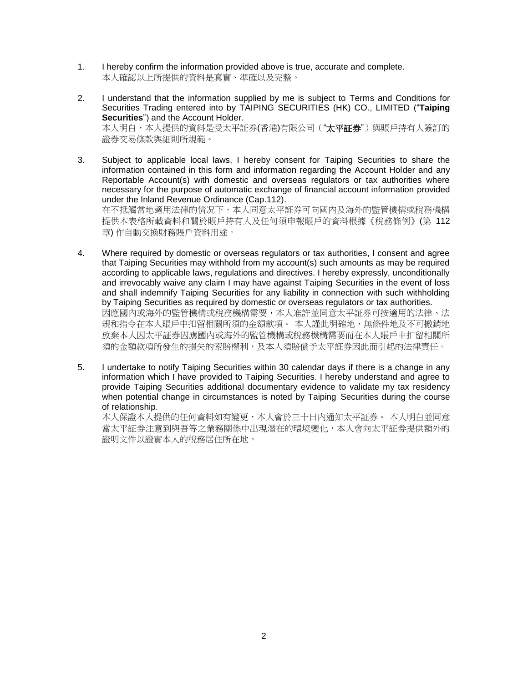- 1. I hereby confirm the information provided above is true, accurate and complete. 本人確認以上所提供的資料是真實、準確以及完整。
- 2. I understand that the information supplied by me is subject to Terms and Conditions for Securities Trading entered into by TAIPING SECURITIES (HK) CO., LIMITED ("**Taiping Securities**") and the Account Holder. 本人明白,本人提供的資料是受太平証券(香港)有限公司("太平証券")與賬戶持有人簽訂的 證券交易條款與細則所規範。
- 3. Subject to applicable local laws, I hereby consent for Taiping Securities to share the information contained in this form and information regarding the Account Holder and any Reportable Account(s) with domestic and overseas regulators or tax authorities where necessary for the purpose of automatic exchange of financial account information provided under the Inland Revenue Ordinance (Cap.112). 在不抵觸當地適用法律的情况下,本人同意太平証券可向國內及海外的監管機構或稅務機構 提供本表格所載資料和關於賬戶持有人及任何須申報賬戶的資料根據《稅務條例》(第 112

章) 作自動交換財務賬戶資料用途。

- 4. Where required by domestic or overseas regulators or tax authorities, I consent and agree that Taiping Securities may withhold from my account(s) such amounts as may be required according to applicable laws, regulations and directives. I hereby expressly, unconditionally and irrevocably waive any claim I may have against Taiping Securities in the event of loss and shall indemnify Taiping Securities for any liability in connection with such withholding by Taiping Securities as required by domestic or overseas regulators or tax authorities. 因應國內或海外的監管機構或稅務機構需要,本人准許並同意太平証券可按適用的法律、法 規和指令在本人賬戶中扣留相關所須的金額款項。 本人謹此明確地、無條件地及不可撤銷地 放棄本人因太平証券因應國內或海外的監管機構或稅務機構需要而在本人賬戶中扣留相關所 須的金額款項所發生的損失的索賠權利,及本人須賠償予太平証券因此而引起的法律責任。
- 5. I undertake to notify Taiping Securities within 30 calendar days if there is a change in any information which I have provided to Taiping Securities. I hereby understand and agree to provide Taiping Securities additional documentary evidence to validate my tax residency when potential change in circumstances is noted by Taiping Securities during the course of relationship.

本人保證本人提供的任何資料如有變更,本人會於三十日內通知太平証券。 本人明白並同意 當太平証券注意到與吾等之業務關係中出現潛在的環境變化,本人會向太平証券提供額外的 證明文件以證實本人的稅務居住所在地。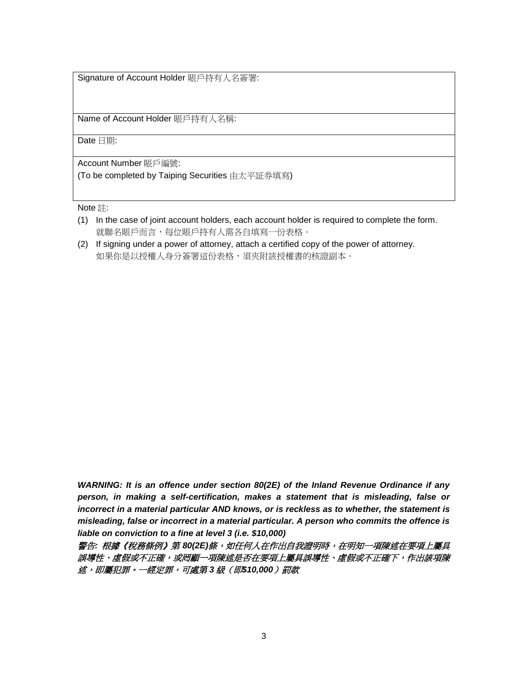Signature of Account Holder 賬戶持有人名簽署:

Name of Account Holder 賬戶持有人名稱:

Date 日期:

Account Number 賬戶編號: (To be completed by Taiping Securities 由太平証券填寫)

Note 註:

- (1) In the case of joint account holders, each account holder is required to complete the form. 就聯名賬戶而言,每位賬戶持有人需各自填寫一份表格。
- (2) If signing under a power of attorney, attach a certified copy of the power of attorney. 如果你是以授權人身分簽署這份表格,須夾附該授權書的核證副本。

*WARNING: It is an offence under section 80(2E) of the Inland Revenue Ordinance if any person, in making a self-certification, makes a statement that is misleading, false or incorrect in a material particular AND knows, or is reckless as to whether, the statement is misleading, false or incorrect in a material particular. A person who commits the offence is liable on conviction to a fine at level 3 (i.e. \$10,000)*

警告*:* 根據《稅務條例》第 *80(2E)*條,如任何人在作出自我證明時,在明知一項陳述在要項上屬具 誤導性、虛假或不正確,或罔顧一項陳述是否在要項上屬具誤導性、虛假或不正確下,作出該項陳 述,即屬犯罪。一經定罪,可處第 *3* 級(即*\$10,000*)罰款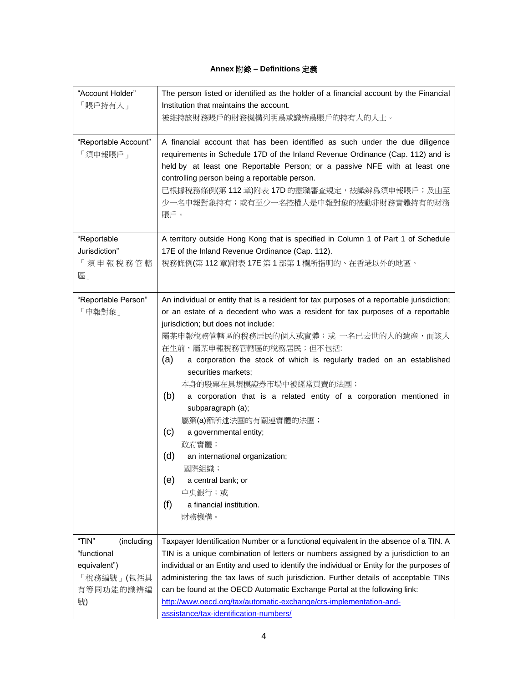## **Annex** 附錄 **– Definitions** 定義

| "Account Holder"<br>「賬戶持有人」                                                         | The person listed or identified as the holder of a financial account by the Financial<br>Institution that maintains the account.                                                                                                                                                                                                                                                                                                                                                                                                                                                                                                                                                                                                      |
|-------------------------------------------------------------------------------------|---------------------------------------------------------------------------------------------------------------------------------------------------------------------------------------------------------------------------------------------------------------------------------------------------------------------------------------------------------------------------------------------------------------------------------------------------------------------------------------------------------------------------------------------------------------------------------------------------------------------------------------------------------------------------------------------------------------------------------------|
|                                                                                     | 被維持該財務賬戶的財務機構列明爲或識辨爲賬戶的持有人的人士。                                                                                                                                                                                                                                                                                                                                                                                                                                                                                                                                                                                                                                                                                                        |
| "Reportable Account"<br>「須申報賬戶」                                                     | A financial account that has been identified as such under the due diligence<br>requirements in Schedule 17D of the Inland Revenue Ordinance (Cap. 112) and is<br>held by at least one Reportable Person; or a passive NFE with at least one<br>controlling person being a reportable person.<br>已根據稅務條例(第112章)附表 17D 的盡職審查規定,被識辨爲須申報賬戶;及由至<br>少一名申報對象持有;或有至少一名控權人是申報對象的被動非財務實體持有的財務<br>賬戶。                                                                                                                                                                                                                                                                                                                                           |
| "Reportable                                                                         | A territory outside Hong Kong that is specified in Column 1 of Part 1 of Schedule                                                                                                                                                                                                                                                                                                                                                                                                                                                                                                                                                                                                                                                     |
| Jurisdiction"                                                                       | 17E of the Inland Revenue Ordinance (Cap. 112).                                                                                                                                                                                                                                                                                                                                                                                                                                                                                                                                                                                                                                                                                       |
| 「須申報稅務管轄<br>區」                                                                      | 稅務條例(第112章)附表 17E 第1部第1欄所指明的、在香港以外的地區。                                                                                                                                                                                                                                                                                                                                                                                                                                                                                                                                                                                                                                                                                                |
| "Reportable Person"<br>「申報對象」                                                       | An individual or entity that is a resident for tax purposes of a reportable jurisdiction;<br>or an estate of a decedent who was a resident for tax purposes of a reportable<br>jurisdiction; but does not include:<br>屬某申報稅務管轄區的稅務居民的個人或實體;或 一名已去世的人的遺産,而該人<br>在生前,屬某申報稅務管轄區的稅務居民;但不包括:<br>a corporation the stock of which is regularly traded on an established<br>(a)<br>securities markets;<br>本身的股票在具規模證券市場中被經常買賣的法團;<br>(b)<br>a corporation that is a related entity of a corporation mentioned in<br>subparagraph (a);<br>屬第(a)節所述法團的有關連實體的法團;<br>(c)<br>a governmental entity;<br>政府實體;<br>(d)<br>an international organization;<br>國際組織;<br>(e)<br>a central bank; or<br>中央銀行;或<br>(f)<br>a financial institution.<br>財務機構。 |
| "TIN"<br>(including<br>"functional<br>equivalent")<br>「稅務編號」(包括具<br>有等同功能的識辨編<br>號) | Taxpayer Identification Number or a functional equivalent in the absence of a TIN. A<br>TIN is a unique combination of letters or numbers assigned by a jurisdiction to an<br>individual or an Entity and used to identify the individual or Entity for the purposes of<br>administering the tax laws of such jurisdiction. Further details of acceptable TINs<br>can be found at the OECD Automatic Exchange Portal at the following link:<br>http://www.oecd.org/tax/automatic-exchange/crs-implementation-and-<br>assistance/tax-identification-numbers/                                                                                                                                                                           |